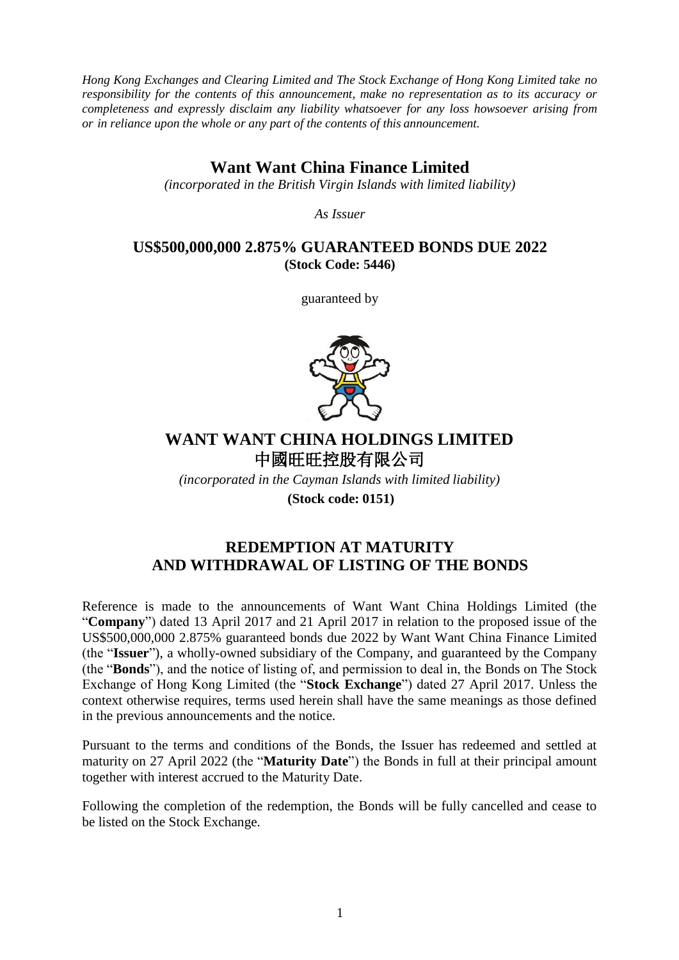*Hong Kong Exchanges and Clearing Limited and The Stock Exchange of Hong Kong Limited take no responsibility for the contents of this announcement, make no representation as to its accuracy or completeness and expressly disclaim any liability whatsoever for any loss howsoever arising from or in reliance upon the whole or any part of the contents of this announcement.*

## **Want Want China Finance Limited**

*(incorporated in the British Virgin Islands with limited liability)*

*As Issuer*

## **US\$500,000,000 2.875% GUARANTEED BONDS DUE 2022 (Stock Code: 5446)**

guaranteed by



## **WANT WANT CHINA HOLDINGS LIMITED** 中國旺旺控股有限公司

*(incorporated in the Cayman Islands with limited liability)* **(Stock code: 0151)**

## **REDEMPTION AT MATURITY AND WITHDRAWAL OF LISTING OF THE BONDS**

Reference is made to the announcements of Want Want China Holdings Limited (the "**Company**") dated 13 April 2017 and 21 April 2017 in relation to the proposed issue of the US\$500,000,000 2.875% guaranteed bonds due 2022 by Want Want China Finance Limited (the "**Issuer**"), a wholly-owned subsidiary of the Company, and guaranteed by the Company (the "**Bonds**"), and the notice of listing of, and permission to deal in, the Bonds on The Stock Exchange of Hong Kong Limited (the "**Stock Exchange**") dated 27 April 2017. Unless the context otherwise requires, terms used herein shall have the same meanings as those defined in the previous announcements and the notice.

Pursuant to the terms and conditions of the Bonds, the Issuer has redeemed and settled at maturity on 27 April 2022 (the "**Maturity Date**") the Bonds in full at their principal amount together with interest accrued to the Maturity Date.

Following the completion of the redemption, the Bonds will be fully cancelled and cease to be listed on the Stock Exchange.